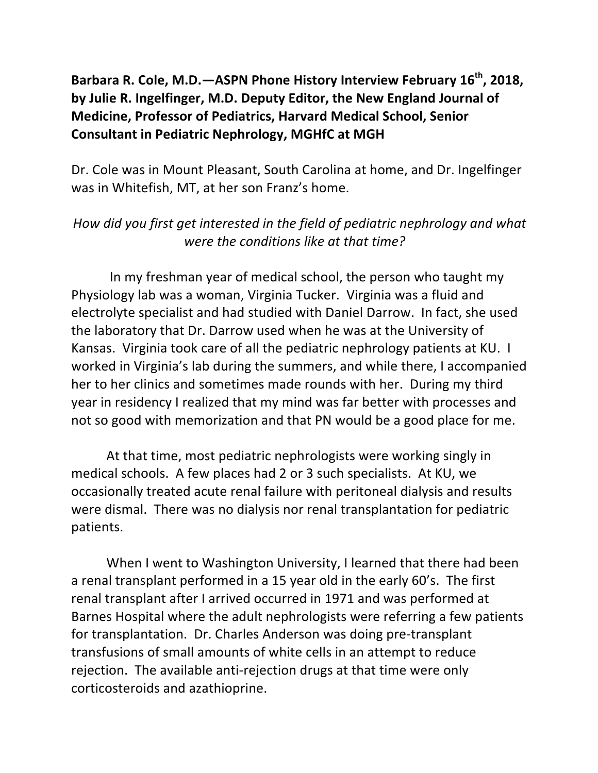## Barbara R. Cole, M.D.—ASPN Phone History Interview February 16<sup>th</sup>, 2018, by Julie R. Ingelfinger, M.D. Deputy Editor, the New England Journal of **Medicine, Professor of Pediatrics, Harvard Medical School, Senior Consultant in Pediatric Nephrology, MGHfC at MGH**

Dr. Cole was in Mount Pleasant, South Carolina at home, and Dr. Ingelfinger was in Whitefish, MT, at her son Franz's home.

### *How* did you first get interested in the field of pediatric nephrology and what *were the conditions like at that time?*

In my freshman year of medical school, the person who taught my Physiology lab was a woman, Virginia Tucker. Virginia was a fluid and electrolyte specialist and had studied with Daniel Darrow. In fact, she used the laboratory that Dr. Darrow used when he was at the University of Kansas. Virginia took care of all the pediatric nephrology patients at KU. I worked in Virginia's lab during the summers, and while there, I accompanied her to her clinics and sometimes made rounds with her. During my third year in residency I realized that my mind was far better with processes and not so good with memorization and that PN would be a good place for me.

At that time, most pediatric nephrologists were working singly in medical schools. A few places had 2 or 3 such specialists. At KU, we occasionally treated acute renal failure with peritoneal dialysis and results were dismal. There was no dialysis nor renal transplantation for pediatric patients.

When I went to Washington University, I learned that there had been a renal transplant performed in a 15 year old in the early 60's. The first renal transplant after I arrived occurred in 1971 and was performed at Barnes Hospital where the adult nephrologists were referring a few patients for transplantation. Dr. Charles Anderson was doing pre-transplant transfusions of small amounts of white cells in an attempt to reduce rejection. The available anti-rejection drugs at that time were only corticosteroids and azathioprine.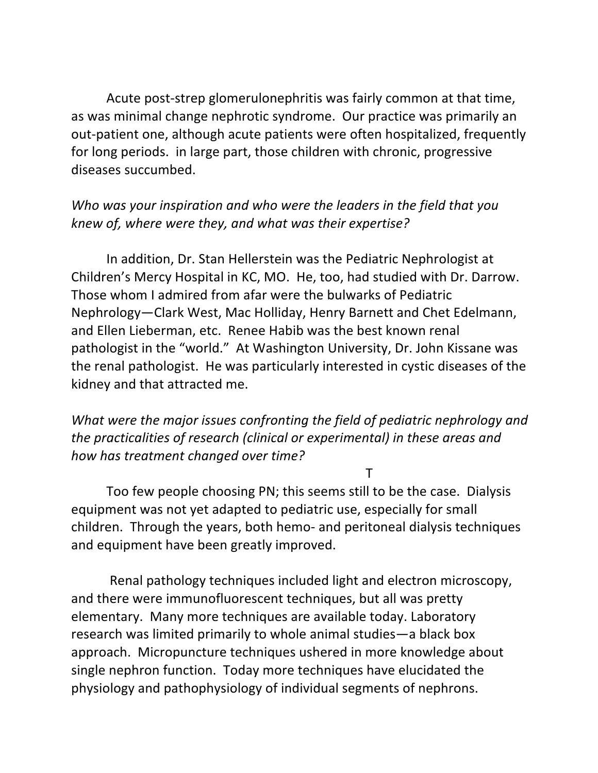Acute post-strep glomerulonephritis was fairly common at that time, as was minimal change nephrotic syndrome. Our practice was primarily an out-patient one, although acute patients were often hospitalized, frequently for long periods. in large part, those children with chronic, progressive diseases succumbed.

### Who was your inspiration and who were the leaders in the field that you *knew of, where were they, and what was their expertise?*

In addition, Dr. Stan Hellerstein was the Pediatric Nephrologist at Children's Mercy Hospital in KC, MO. He, too, had studied with Dr. Darrow. Those whom I admired from afar were the bulwarks of Pediatric Nephrology—Clark West, Mac Holliday, Henry Barnett and Chet Edelmann, and Ellen Lieberman, etc. Renee Habib was the best known renal pathologist in the "world." At Washington University, Dr. John Kissane was the renal pathologist. He was particularly interested in cystic diseases of the kidney and that attracted me.

*What* were the major issues confronting the field of pediatric nephrology and *the practicalities of research (clinical or experimental) in these areas and* how has treatment changed over time?

**The Community of the T** 

Too few people choosing PN; this seems still to be the case. Dialysis equipment was not yet adapted to pediatric use, especially for small children. Through the years, both hemo- and peritoneal dialysis techniques and equipment have been greatly improved.

Renal pathology techniques included light and electron microscopy, and there were immunofluorescent techniques, but all was pretty elementary. Many more techniques are available today. Laboratory research was limited primarily to whole animal studies—a black box approach. Micropuncture techniques ushered in more knowledge about single nephron function. Today more techniques have elucidated the physiology and pathophysiology of individual segments of nephrons.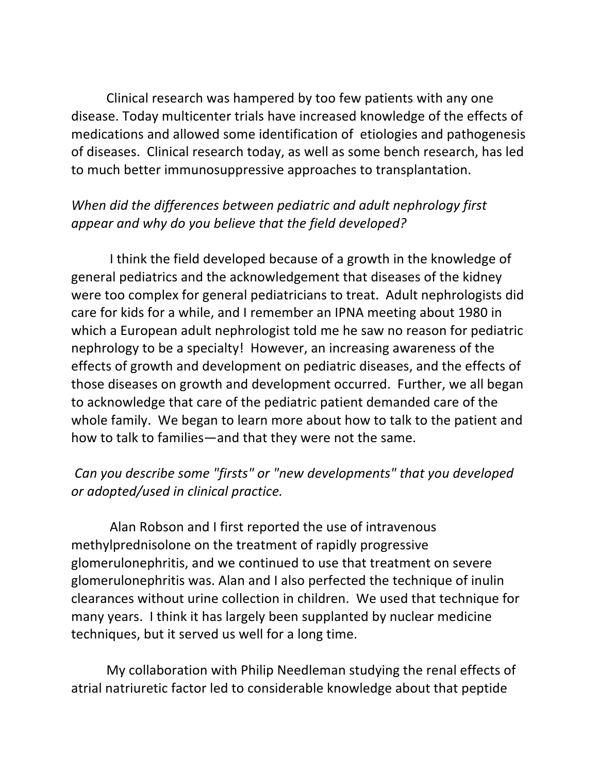Clinical research was hampered by too few patients with any one disease. Today multicenter trials have increased knowledge of the effects of medications and allowed some identification of etiologies and pathogenesis of diseases. Clinical research today, as well as some bench research, has led to much better immunosuppressive approaches to transplantation.

# When did the differences between pediatric and adult nephrology first appear and why do you believe that the field developed?

I think the field developed because of a growth in the knowledge of general pediatrics and the acknowledgement that diseases of the kidney were too complex for general pediatricians to treat. Adult nephrologists did care for kids for a while, and I remember an IPNA meeting about 1980 in which a European adult nephrologist told me he saw no reason for pediatric nephrology to be a specialty! However, an increasing awareness of the effects of growth and development on pediatric diseases, and the effects of those diseases on growth and development occurred. Further, we all began to acknowledge that care of the pediatric patient demanded care of the whole family. We began to learn more about how to talk to the patient and how to talk to families—and that they were not the same.

# Can you describe some "firsts" or "new developments" that you developed *or adopted/used in clinical practice.*

Alan Robson and I first reported the use of intravenous methylprednisolone on the treatment of rapidly progressive glomerulonephritis, and we continued to use that treatment on severe glomerulonephritis was. Alan and I also perfected the technique of inulin clearances without urine collection in children. We used that technique for many years. I think it has largely been supplanted by nuclear medicine techniques, but it served us well for a long time.

My collaboration with Philip Needleman studying the renal effects of atrial natriuretic factor led to considerable knowledge about that peptide